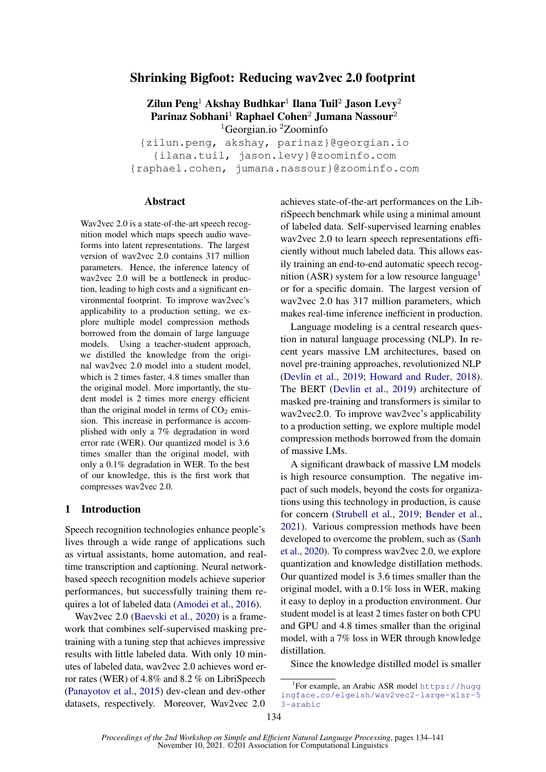# Shrinking Bigfoot: Reducing wav2vec 2.0 footprint

Zilun Peng $^1$  Akshay Budhkar $^1$  Ilana Tuil $^2$  Jason Levy $^2$ Parinaz Sobhani<sup>1</sup> Raphael Cohen<sup>2</sup> Jumana Nassour<sup>2</sup> <sup>1</sup>Georgian.io<sup>2</sup>Zoominfo

{zilun.peng, akshay, parinaz}@georgian.io {ilana.tuil, jason.levy}@zoominfo.com {raphael.cohen, jumana.nassour}@zoominfo.com

#### Abstract

Wav2vec 2.0 is a state-of-the-art speech recognition model which maps speech audio waveforms into latent representations. The largest version of wav2vec 2.0 contains 317 million parameters. Hence, the inference latency of wav2vec 2.0 will be a bottleneck in production, leading to high costs and a significant environmental footprint. To improve wav2vec's applicability to a production setting, we explore multiple model compression methods borrowed from the domain of large language models. Using a teacher-student approach, we distilled the knowledge from the original wav2vec 2.0 model into a student model, which is 2 times faster, 4.8 times smaller than the original model. More importantly, the student model is 2 times more energy efficient than the original model in terms of  $CO<sub>2</sub>$  emission. This increase in performance is accomplished with only a 7% degradation in word error rate (WER). Our quantized model is 3.6 times smaller than the original model, with only a 0.1% degradation in WER. To the best of our knowledge, this is the first work that compresses wav2vec 2.0.

#### 1 Introduction

Speech recognition technologies enhance people's lives through a wide range of applications such as virtual assistants, home automation, and realtime transcription and captioning. Neural networkbased speech recognition models achieve superior performances, but successfully training them requires a lot of labeled data [\(Amodei et al.,](#page-6-0) [2016\)](#page-6-0).

Wav2vec 2.0 [\(Baevski et al.,](#page-6-1) [2020\)](#page-6-1) is a framework that combines self-supervised masking pretraining with a tuning step that achieves impressive results with little labeled data. With only 10 minutes of labeled data, wav2vec 2.0 achieves word error rates (WER) of 4.8% and 8.2 % on LibriSpeech [\(Panayotov et al.,](#page-7-0) [2015\)](#page-7-0) dev-clean and dev-other datasets, respectively. Moreover, Wav2vec 2.0

achieves state-of-the-art performances on the LibriSpeech benchmark while using a minimal amount of labeled data. Self-supervised learning enables wav2vec 2.0 to learn speech representations efficiently without much labeled data. This allows easily training an end-to-end automatic speech recog-nition (ASR) system for a low resource language<sup>[1](#page-0-0)</sup> or for a specific domain. The largest version of wav2vec 2.0 has 317 million parameters, which makes real-time inference inefficient in production.

Language modeling is a central research question in natural language processing (NLP). In recent years massive LM architectures, based on novel pre-training approaches, revolutionized NLP [\(Devlin et al.,](#page-6-2) [2019;](#page-6-2) [Howard and Ruder,](#page-6-3) [2018\)](#page-6-3). The BERT [\(Devlin et al.,](#page-6-2) [2019\)](#page-6-2) architecture of masked pre-training and transformers is similar to wav2vec2.0. To improve wav2vec's applicability to a production setting, we explore multiple model compression methods borrowed from the domain of massive LMs.

A significant drawback of massive LM models is high resource consumption. The negative impact of such models, beyond the costs for organizations using this technology in production, is cause for concern [\(Strubell et al.,](#page-7-1) [2019;](#page-7-1) [Bender et al.,](#page-6-4) [2021\)](#page-6-4). Various compression methods have been developed to overcome the problem, such as [\(Sanh](#page-7-2) [et al.,](#page-7-2) [2020\)](#page-7-2). To compress wav2vec 2.0, we explore quantization and knowledge distillation methods. Our quantized model is 3.6 times smaller than the original model, with a 0.1% loss in WER, making it easy to deploy in a production environment. Our student model is at least 2 times faster on both CPU and GPU and 4.8 times smaller than the original model, with a 7% loss in WER through knowledge distillation.

Since the knowledge distilled model is smaller

<span id="page-0-0"></span><sup>&</sup>lt;sup>1</sup>For example, an Arabic ASR model [https://hugg](https://huggingface.co/elgeish/wav2vec2-large-xlsr-53-arabic) [ingface.co/elgeish/wav2vec2-large-xlsr-5](https://huggingface.co/elgeish/wav2vec2-large-xlsr-53-arabic) [3-arabic](https://huggingface.co/elgeish/wav2vec2-large-xlsr-53-arabic)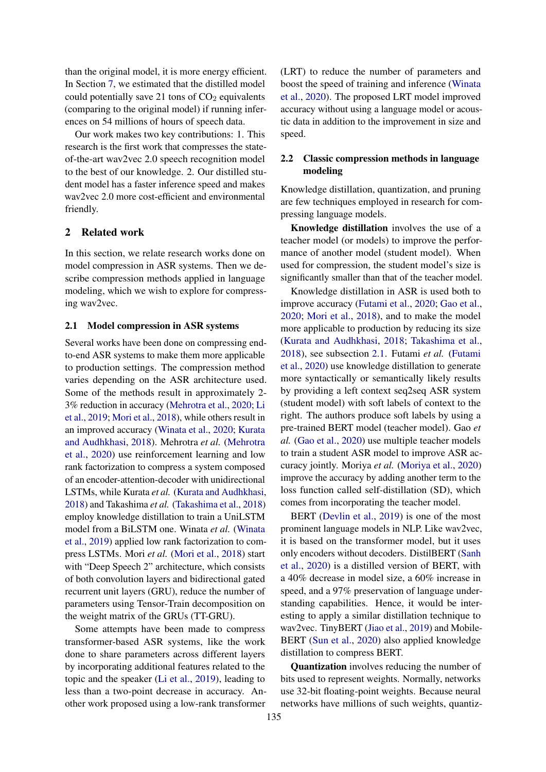than the original model, it is more energy efficient. In Section [7,](#page-4-0) we estimated that the distilled model could potentially save 21 tons of  $CO<sub>2</sub>$  equivalents (comparing to the original model) if running inferences on 54 millions of hours of speech data.

Our work makes two key contributions: 1. This research is the first work that compresses the stateof-the-art wav2vec 2.0 speech recognition model to the best of our knowledge. 2. Our distilled student model has a faster inference speed and makes wav2vec 2.0 more cost-efficient and environmental friendly.

# 2 Related work

In this section, we relate research works done on model compression in ASR systems. Then we describe compression methods applied in language modeling, which we wish to explore for compressing wav2vec.

### <span id="page-1-0"></span>2.1 Model compression in ASR systems

Several works have been done on compressing endto-end ASR systems to make them more applicable to production settings. The compression method varies depending on the ASR architecture used. Some of the methods result in approximately 2- 3% reduction in accuracy [\(Mehrotra et al.,](#page-7-3) [2020;](#page-7-3) [Li](#page-7-4) [et al.,](#page-7-4) [2019;](#page-7-4) [Mori et al.,](#page-7-5) [2018\)](#page-7-5), while others result in an improved accuracy [\(Winata et al.,](#page-7-6) [2020;](#page-7-6) [Kurata](#page-7-7) [and Audhkhasi,](#page-7-7) [2018\)](#page-7-7). Mehrotra *et al.* [\(Mehrotra](#page-7-3) [et al.,](#page-7-3) [2020\)](#page-7-3) use reinforcement learning and low rank factorization to compress a system composed of an encoder-attention-decoder with unidirectional LSTMs, while Kurata *et al.* [\(Kurata and Audhkhasi,](#page-7-7) [2018\)](#page-7-7) and Takashima *et al.* [\(Takashima et al.,](#page-7-8) [2018\)](#page-7-8) employ knowledge distillation to train a UniLSTM model from a BiLSTM one. Winata *et al.* [\(Winata](#page-7-9) [et al.,](#page-7-9) [2019\)](#page-7-9) applied low rank factorization to compress LSTMs. Mori *et al.* [\(Mori et al.,](#page-7-5) [2018\)](#page-7-5) start with "Deep Speech 2" architecture, which consists of both convolution layers and bidirectional gated recurrent unit layers (GRU), reduce the number of parameters using Tensor-Train decomposition on the weight matrix of the GRUs (TT-GRU).

Some attempts have been made to compress transformer-based ASR systems, like the work done to share parameters across different layers by incorporating additional features related to the topic and the speaker [\(Li et al.,](#page-7-4) [2019\)](#page-7-4), leading to less than a two-point decrease in accuracy. Another work proposed using a low-rank transformer (LRT) to reduce the number of parameters and boost the speed of training and inference [\(Winata](#page-7-6) [et al.,](#page-7-6) [2020\)](#page-7-6). The proposed LRT model improved accuracy without using a language model or acoustic data in addition to the improvement in size and speed.

## 2.2 Classic compression methods in language modeling

Knowledge distillation, quantization, and pruning are few techniques employed in research for compressing language models.

Knowledge distillation involves the use of a teacher model (or models) to improve the performance of another model (student model). When used for compression, the student model's size is significantly smaller than that of the teacher model.

Knowledge distillation in ASR is used both to improve accuracy [\(Futami et al.,](#page-6-5) [2020;](#page-6-5) [Gao et al.,](#page-6-6) [2020;](#page-6-6) [Mori et al.,](#page-7-5) [2018\)](#page-7-5), and to make the model more applicable to production by reducing its size [\(Kurata and Audhkhasi,](#page-7-7) [2018;](#page-7-7) [Takashima et al.,](#page-7-8) [2018\)](#page-7-8), see subsection [2.1.](#page-1-0) Futami *et al.* [\(Futami](#page-6-5) [et al.,](#page-6-5) [2020\)](#page-6-5) use knowledge distillation to generate more syntactically or semantically likely results by providing a left context seq2seq ASR system (student model) with soft labels of context to the right. The authors produce soft labels by using a pre-trained BERT model (teacher model). Gao *et al.* [\(Gao et al.,](#page-6-6) [2020\)](#page-6-6) use multiple teacher models to train a student ASR model to improve ASR accuracy jointly. Moriya *et al.* [\(Moriya et al.,](#page-7-10) [2020\)](#page-7-10) improve the accuracy by adding another term to the loss function called self-distillation (SD), which comes from incorporating the teacher model.

BERT [\(Devlin et al.,](#page-6-2) [2019\)](#page-6-2) is one of the most prominent language models in NLP. Like wav2vec, it is based on the transformer model, but it uses only encoders without decoders. DistilBERT [\(Sanh](#page-7-2) [et al.,](#page-7-2) [2020\)](#page-7-2) is a distilled version of BERT, with a 40% decrease in model size, a 60% increase in speed, and a 97% preservation of language understanding capabilities. Hence, it would be interesting to apply a similar distillation technique to wav2vec. TinyBERT [\(Jiao et al.,](#page-7-11) [2019\)](#page-7-11) and Mobile-BERT [\(Sun et al.,](#page-7-12) [2020\)](#page-7-12) also applied knowledge distillation to compress BERT.

Quantization involves reducing the number of bits used to represent weights. Normally, networks use 32-bit floating-point weights. Because neural networks have millions of such weights, quantiz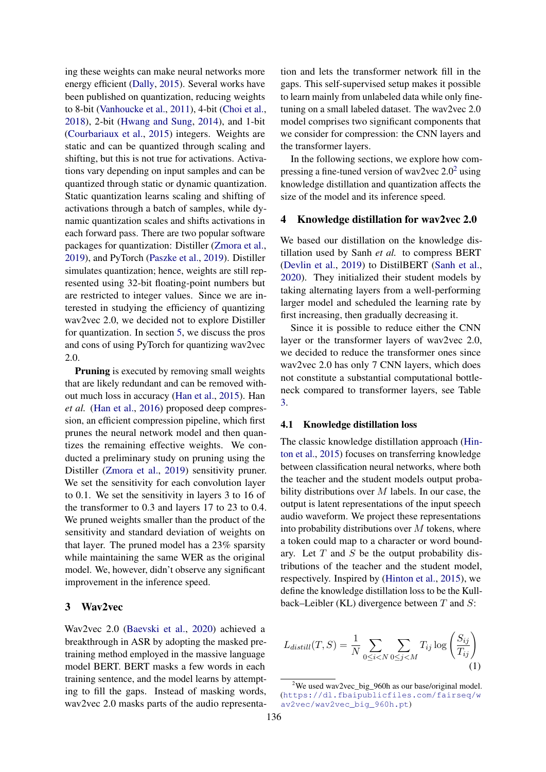ing these weights can make neural networks more energy efficient [\(Dally,](#page-6-7) [2015\)](#page-6-7). Several works have been published on quantization, reducing weights to 8-bit [\(Vanhoucke et al.,](#page-7-13) [2011\)](#page-7-13), 4-bit [\(Choi et al.,](#page-6-8) [2018\)](#page-6-8), 2-bit [\(Hwang and Sung,](#page-7-14) [2014\)](#page-7-14), and 1-bit [\(Courbariaux et al.,](#page-6-9) [2015\)](#page-6-9) integers. Weights are static and can be quantized through scaling and shifting, but this is not true for activations. Activations vary depending on input samples and can be quantized through static or dynamic quantization. Static quantization learns scaling and shifting of activations through a batch of samples, while dynamic quantization scales and shifts activations in each forward pass. There are two popular software packages for quantization: Distiller [\(Zmora et al.,](#page-7-15) [2019\)](#page-7-15), and PyTorch [\(Paszke et al.,](#page-7-16) [2019\)](#page-7-16). Distiller simulates quantization; hence, weights are still represented using 32-bit floating-point numbers but are restricted to integer values. Since we are interested in studying the efficiency of quantizing wav2vec 2.0, we decided not to explore Distiller for quantization. In section [5,](#page-3-0) we discuss the pros and cons of using PyTorch for quantizing wav2vec 2.0.

Pruning is executed by removing small weights that are likely redundant and can be removed without much loss in accuracy [\(Han et al.,](#page-6-10) [2015\)](#page-6-10). Han *et al.* [\(Han et al.,](#page-6-11) [2016\)](#page-6-11) proposed deep compression, an efficient compression pipeline, which first prunes the neural network model and then quantizes the remaining effective weights. We conducted a preliminary study on pruning using the Distiller [\(Zmora et al.,](#page-7-15) [2019\)](#page-7-15) sensitivity pruner. We set the sensitivity for each convolution layer to 0.1. We set the sensitivity in layers 3 to 16 of the transformer to 0.3 and layers 17 to 23 to 0.4. We pruned weights smaller than the product of the sensitivity and standard deviation of weights on that layer. The pruned model has a 23% sparsity while maintaining the same WER as the original model. We, however, didn't observe any significant improvement in the inference speed.

### 3 Wav2vec

Wav2vec 2.0 [\(Baevski et al.,](#page-6-1) [2020\)](#page-6-1) achieved a breakthrough in ASR by adopting the masked pretraining method employed in the massive language model BERT. BERT masks a few words in each training sentence, and the model learns by attempting to fill the gaps. Instead of masking words, wav2vec 2.0 masks parts of the audio representa-

tion and lets the transformer network fill in the gaps. This self-supervised setup makes it possible to learn mainly from unlabeled data while only finetuning on a small labeled dataset. The wav2vec 2.0 model comprises two significant components that we consider for compression: the CNN layers and the transformer layers.

In the following sections, we explore how com-pressing a fine-tuned version of wav[2](#page-2-0)vec  $2.0^2$  using knowledge distillation and quantization affects the size of the model and its inference speed.

#### 4 Knowledge distillation for wav2vec 2.0

We based our distillation on the knowledge distillation used by Sanh *et al.* to compress BERT [\(Devlin et al.,](#page-6-2) [2019\)](#page-6-2) to DistilBERT [\(Sanh et al.,](#page-7-2) [2020\)](#page-7-2). They initialized their student models by taking alternating layers from a well-performing larger model and scheduled the learning rate by first increasing, then gradually decreasing it.

Since it is possible to reduce either the CNN layer or the transformer layers of wav2vec 2.0, we decided to reduce the transformer ones since wav2vec 2.0 has only 7 CNN layers, which does not constitute a substantial computational bottleneck compared to transformer layers, see Table [3.](#page-5-0)

#### 4.1 Knowledge distillation loss

The classic knowledge distillation approach [\(Hin](#page-6-12)[ton et al.,](#page-6-12) [2015\)](#page-6-12) focuses on transferring knowledge between classification neural networks, where both the teacher and the student models output probability distributions over  $M$  labels. In our case, the output is latent representations of the input speech audio waveform. We project these representations into probability distributions over  $M$  tokens, where a token could map to a character or word boundary. Let  $T$  and  $S$  be the output probability distributions of the teacher and the student model, respectively. Inspired by [\(Hinton et al.,](#page-6-12) [2015\)](#page-6-12), we define the knowledge distillation loss to be the Kullback–Leibler (KL) divergence between  $T$  and  $S$ :

<span id="page-2-1"></span>
$$
L_{distill}(T, S) = \frac{1}{N} \sum_{0 \le i < N} \sum_{0 \le j < M} T_{ij} \log \left( \frac{S_{ij}}{T_{ij}} \right) \tag{1}
$$

<span id="page-2-0"></span> $2$ We used wav2vec\_big\_960h as our base/original model. ([https://dl.fbaipublicfiles.com/fairseq/w](https://dl.fbaipublicfiles.com/fairseq/wav2vec/wav2vec_big_960h.pt) [av2vec/wav2vec\\_big\\_960h.pt](https://dl.fbaipublicfiles.com/fairseq/wav2vec/wav2vec_big_960h.pt))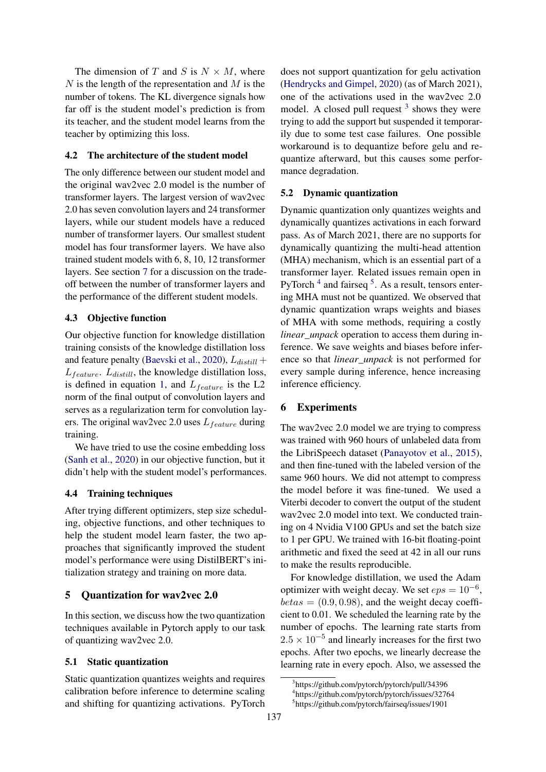The dimension of T and S is  $N \times M$ , where  $N$  is the length of the representation and  $M$  is the number of tokens. The KL divergence signals how far off is the student model's prediction is from its teacher, and the student model learns from the teacher by optimizing this loss.

### <span id="page-3-5"></span>4.2 The architecture of the student model

The only difference between our student model and the original wav2vec 2.0 model is the number of transformer layers. The largest version of wav2vec 2.0 has seven convolution layers and 24 transformer layers, while our student models have a reduced number of transformer layers. Our smallest student model has four transformer layers. We have also trained student models with 6, 8, 10, 12 transformer layers. See section [7](#page-4-0) for a discussion on the tradeoff between the number of transformer layers and the performance of the different student models.

### 4.3 Objective function

Our objective function for knowledge distillation training consists of the knowledge distillation loss and feature penalty [\(Baevski et al.,](#page-6-1) [2020\)](#page-6-1),  $L_{distill}$  +  $L_{feature}$ .  $L_{distill}$ , the knowledge distillation loss, is defined in equation [1,](#page-2-1) and  $L_{feature}$  is the L2 norm of the final output of convolution layers and serves as a regularization term for convolution layers. The original wav2vec 2.0 uses  $L_{feature}$  during training.

We have tried to use the cosine embedding loss [\(Sanh et al.,](#page-7-2) [2020\)](#page-7-2) in our objective function, but it didn't help with the student model's performances.

#### 4.4 Training techniques

After trying different optimizers, step size scheduling, objective functions, and other techniques to help the student model learn faster, the two approaches that significantly improved the student model's performance were using DistilBERT's initialization strategy and training on more data.

### <span id="page-3-0"></span>5 Quantization for wav2vec 2.0

In this section, we discuss how the two quantization techniques available in Pytorch apply to our task of quantizing wav2vec 2.0.

### 5.1 Static quantization

Static quantization quantizes weights and requires calibration before inference to determine scaling and shifting for quantizing activations. PyTorch does not support quantization for gelu activation [\(Hendrycks and Gimpel,](#page-6-13) [2020\)](#page-6-13) (as of March 2021), one of the activations used in the wav2vec 2.0 model. A closed pull request  $3$  shows they were trying to add the support but suspended it temporarily due to some test case failures. One possible workaround is to dequantize before gelu and requantize afterward, but this causes some performance degradation.

#### <span id="page-3-4"></span>5.2 Dynamic quantization

Dynamic quantization only quantizes weights and dynamically quantizes activations in each forward pass. As of March 2021, there are no supports for dynamically quantizing the multi-head attention (MHA) mechanism, which is an essential part of a transformer layer. Related issues remain open in PyTorch<sup>[4](#page-3-2)</sup> and fairseq  $5$ . As a result, tensors entering MHA must not be quantized. We observed that dynamic quantization wraps weights and biases of MHA with some methods, requiring a costly *linear unpack* operation to access them during inference. We save weights and biases before inference so that *linear\_unpack* is not performed for every sample during inference, hence increasing inference efficiency.

### 6 Experiments

The wav2vec 2.0 model we are trying to compress was trained with 960 hours of unlabeled data from the LibriSpeech dataset [\(Panayotov et al.,](#page-7-0) [2015\)](#page-7-0), and then fine-tuned with the labeled version of the same 960 hours. We did not attempt to compress the model before it was fine-tuned. We used a Viterbi decoder to convert the output of the student wav2vec 2.0 model into text. We conducted training on 4 Nvidia V100 GPUs and set the batch size to 1 per GPU. We trained with 16-bit floating-point arithmetic and fixed the seed at 42 in all our runs to make the results reproducible.

For knowledge distillation, we used the Adam optimizer with weight decay. We set  $eps = 10^{-6}$ ,  $betas = (0.9, 0.98)$ , and the weight decay coefficient to 0.01. We scheduled the learning rate by the number of epochs. The learning rate starts from  $2.5 \times 10^{-5}$  and linearly increases for the first two epochs. After two epochs, we linearly decrease the learning rate in every epoch. Also, we assessed the

<span id="page-3-1"></span><sup>3</sup> https://github.com/pytorch/pytorch/pull/34396

<span id="page-3-2"></span><sup>4</sup> https://github.com/pytorch/pytorch/issues/32764

<span id="page-3-3"></span><sup>5</sup> https://github.com/pytorch/fairseq/issues/1901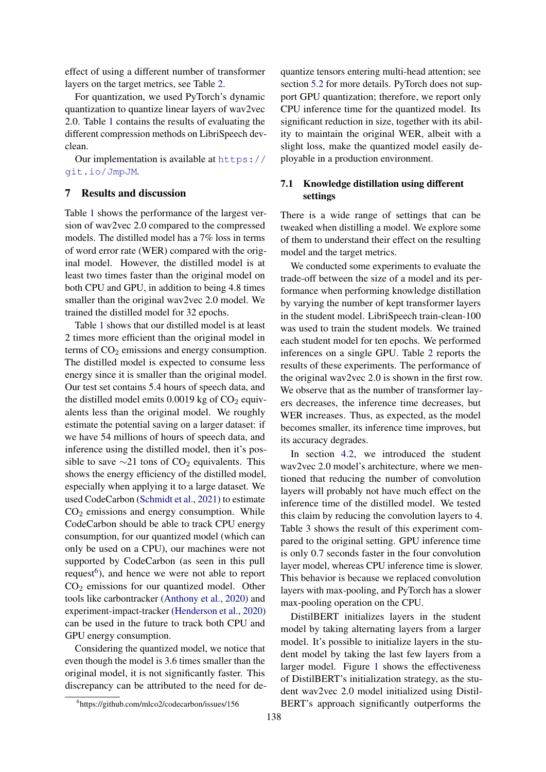effect of using a different number of transformer layers on the target metrics, see Table [2.](#page-5-1)

For quantization, we used PyTorch's dynamic quantization to quantize linear layers of wav2vec 2.0. Table [1](#page-5-2) contains the results of evaluating the different compression methods on LibriSpeech devclean.

Our implementation is available at [https://](https://git.io/JmpJM) [git.io/JmpJM](https://git.io/JmpJM).

#### <span id="page-4-0"></span>7 Results and discussion

Table [1](#page-5-2) shows the performance of the largest version of wav2vec 2.0 compared to the compressed models. The distilled model has a 7% loss in terms of word error rate (WER) compared with the original model. However, the distilled model is at least two times faster than the original model on both CPU and GPU, in addition to being 4.8 times smaller than the original wav2vec 2.0 model. We trained the distilled model for 32 epochs.

Table [1](#page-5-2) shows that our distilled model is at least 2 times more efficient than the original model in terms of  $CO<sub>2</sub>$  emissions and energy consumption. The distilled model is expected to consume less energy since it is smaller than the original model. Our test set contains 5.4 hours of speech data, and the distilled model emits  $0.0019$  kg of  $CO<sub>2</sub>$  equivalents less than the original model. We roughly estimate the potential saving on a larger dataset: if we have 54 millions of hours of speech data, and inference using the distilled model, then it's possible to save  $\sim$ 21 tons of CO<sub>2</sub> equivalents. This shows the energy efficiency of the distilled model, especially when applying it to a large dataset. We used CodeCarbon [\(Schmidt et al.,](#page-7-17) [2021\)](#page-7-17) to estimate  $CO<sub>2</sub>$  emissions and energy consumption. While CodeCarbon should be able to track CPU energy consumption, for our quantized model (which can only be used on a CPU), our machines were not supported by CodeCarbon (as seen in this pull request<sup>[6](#page-4-1)</sup>), and hence we were not able to report CO<sup>2</sup> emissions for our quantized model. Other tools like carbontracker [\(Anthony et al.,](#page-6-14) [2020\)](#page-6-14) and experiment-impact-tracker [\(Henderson et al.,](#page-6-15) [2020\)](#page-6-15) can be used in the future to track both CPU and GPU energy consumption.

Considering the quantized model, we notice that even though the model is 3.6 times smaller than the original model, it is not significantly faster. This discrepancy can be attributed to the need for dequantize tensors entering multi-head attention; see section [5.2](#page-3-4) for more details. PyTorch does not support GPU quantization; therefore, we report only CPU inference time for the quantized model. Its significant reduction in size, together with its ability to maintain the original WER, albeit with a slight loss, make the quantized model easily deployable in a production environment.

### 7.1 Knowledge distillation using different settings

There is a wide range of settings that can be tweaked when distilling a model. We explore some of them to understand their effect on the resulting model and the target metrics.

We conducted some experiments to evaluate the trade-off between the size of a model and its performance when performing knowledge distillation by varying the number of kept transformer layers in the student model. LibriSpeech train-clean-100 was used to train the student models. We trained each student model for ten epochs. We performed inferences on a single GPU. Table [2](#page-5-1) reports the results of these experiments. The performance of the original wav2vec 2.0 is shown in the first row. We observe that as the number of transformer layers decreases, the inference time decreases, but WER increases. Thus, as expected, as the model becomes smaller, its inference time improves, but its accuracy degrades.

In section [4.2,](#page-3-5) we introduced the student wav2vec 2.0 model's architecture, where we mentioned that reducing the number of convolution layers will probably not have much effect on the inference time of the distilled model. We tested this claim by reducing the convolution layers to 4. Table [3](#page-5-0) shows the result of this experiment compared to the original setting. GPU inference time is only 0.7 seconds faster in the four convolution layer model, whereas CPU inference time is slower. This behavior is because we replaced convolution layers with max-pooling, and PyTorch has a slower max-pooling operation on the CPU.

DistilBERT initializes layers in the student model by taking alternating layers from a larger model. It's possible to initialize layers in the student model by taking the last few layers from a larger model. Figure [1](#page-5-3) shows the effectiveness of DistilBERT's initialization strategy, as the student wav2vec 2.0 model initialized using Distil-BERT's approach significantly outperforms the

<span id="page-4-1"></span><sup>6</sup> https://github.com/mlco2/codecarbon/issues/156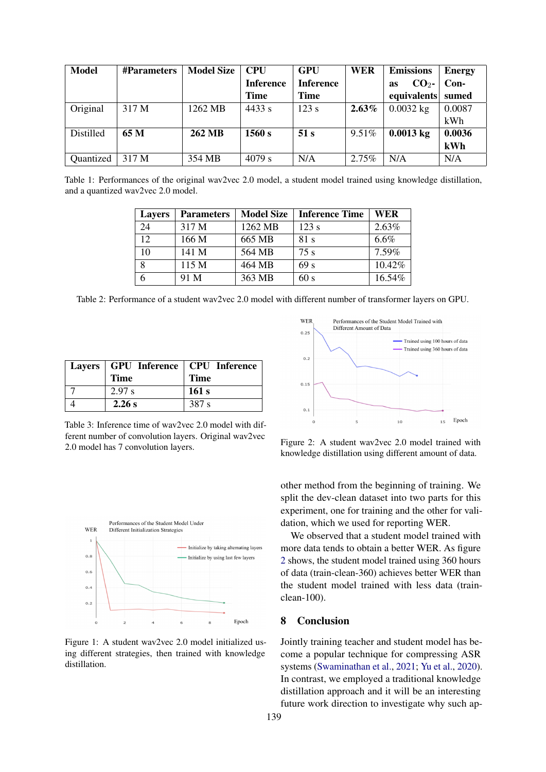<span id="page-5-2"></span>

| <b>Model</b> | <b>#Parameters</b> | <b>Model Size</b> | <b>CPU</b>       | <b>GPU</b>       | <b>WER</b> | <b>Emissions</b>             | <b>Energy</b> |
|--------------|--------------------|-------------------|------------------|------------------|------------|------------------------------|---------------|
|              |                    |                   | <b>Inference</b> | <b>Inference</b> |            | CO <sub>2</sub><br><b>as</b> | Con-          |
|              |                    |                   | <b>Time</b>      | Time             |            | equivalents sumed            |               |
| Original     | 317 M              | 1262 MB           | 4433 s           | 123 s            | $2.63\%$   | $0.0032$ kg                  | 0.0087        |
|              |                    |                   |                  |                  |            |                              | kWh           |
| Distilled    | 65 M               | 262 MB            | 1560 s           | 51 s             | 9.51%      | $0.0013$ kg                  | 0.0036        |
|              |                    |                   |                  |                  |            |                              | kWh           |
| Quantized    | 317 M              | 354 MB            | 4079 s           | N/A              | 2.75%      | N/A                          | N/A           |

<span id="page-5-1"></span>Table 1: Performances of the original wav2vec 2.0 model, a student model trained using knowledge distillation, and a quantized wav2vec 2.0 model.

| <b>Layers</b>   | <b>Parameters</b> | <b>Model Size</b> | <b>Inference Time</b> | WER    |
|-----------------|-------------------|-------------------|-----------------------|--------|
| 24              | 317 M             | 1262 MB           | 123 s                 | 2.63%  |
| 12 <sub>1</sub> | 166 M             | 665 MB            | 81 s                  | 6.6%   |
| 10              | 141 M             | 564 MB            | 75 s                  | 7.59%  |
| 8               | 115 M             | 464 MB            | 69 <sub>s</sub>       | 10.42% |
| 6               | 91 M              | 363 MB            | 60 s                  | 16.54% |

Table 2: Performance of a student wav2vec 2.0 model with different number of transformer layers on GPU.

<span id="page-5-0"></span>

| Layers   GPU Inference   CPU Inference<br><b>Time</b> | <b>Time</b> |
|-------------------------------------------------------|-------------|
| 2.97 s                                                | 161 s       |
| 2.26 s                                                | 387 s       |

Table 3: Inference time of wav2vec 2.0 model with different number of convolution layers. Original wav2vec 2.0 model has 7 convolution layers.

<span id="page-5-3"></span>

Figure 1: A student wav2vec 2.0 model initialized using different strategies, then trained with knowledge distillation.

<span id="page-5-4"></span>

Figure 2: A student wav2vec 2.0 model trained with knowledge distillation using different amount of data.

other method from the beginning of training. We split the dev-clean dataset into two parts for this experiment, one for training and the other for validation, which we used for reporting WER.

We observed that a student model trained with more data tends to obtain a better WER. As figure [2](#page-5-4) shows, the student model trained using 360 hours of data (train-clean-360) achieves better WER than the student model trained with less data (trainclean-100).

## 8 Conclusion

Jointly training teacher and student model has become a popular technique for compressing ASR systems [\(Swaminathan et al.,](#page-7-18) [2021;](#page-7-18) [Yu et al.,](#page-7-19) [2020\)](#page-7-19). In contrast, we employed a traditional knowledge distillation approach and it will be an interesting future work direction to investigate why such ap-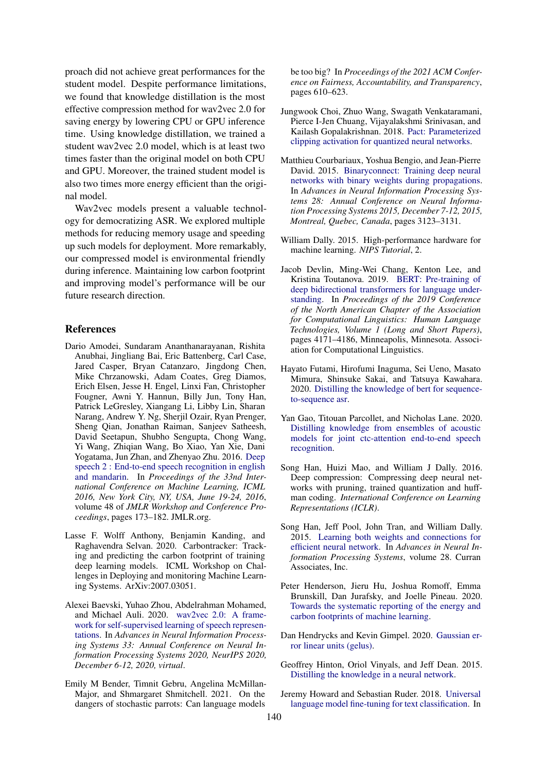proach did not achieve great performances for the student model. Despite performance limitations, we found that knowledge distillation is the most effective compression method for wav2vec 2.0 for saving energy by lowering CPU or GPU inference time. Using knowledge distillation, we trained a student wav2vec 2.0 model, which is at least two times faster than the original model on both CPU and GPU. Moreover, the trained student model is also two times more energy efficient than the original model.

Wav2vec models present a valuable technology for democratizing ASR. We explored multiple methods for reducing memory usage and speeding up such models for deployment. More remarkably, our compressed model is environmental friendly during inference. Maintaining low carbon footprint and improving model's performance will be our future research direction.

#### References

- <span id="page-6-0"></span>Dario Amodei, Sundaram Ananthanarayanan, Rishita Anubhai, Jingliang Bai, Eric Battenberg, Carl Case, Jared Casper, Bryan Catanzaro, Jingdong Chen, Mike Chrzanowski, Adam Coates, Greg Diamos, Erich Elsen, Jesse H. Engel, Linxi Fan, Christopher Fougner, Awni Y. Hannun, Billy Jun, Tony Han, Patrick LeGresley, Xiangang Li, Libby Lin, Sharan Narang, Andrew Y. Ng, Sherjil Ozair, Ryan Prenger, Sheng Qian, Jonathan Raiman, Sanjeev Satheesh, David Seetapun, Shubho Sengupta, Chong Wang, Yi Wang, Zhiqian Wang, Bo Xiao, Yan Xie, Dani Yogatama, Jun Zhan, and Zhenyao Zhu. 2016. [Deep](http://proceedings.mlr.press/v48/amodei16.html) [speech 2 : End-to-end speech recognition in english](http://proceedings.mlr.press/v48/amodei16.html) [and mandarin.](http://proceedings.mlr.press/v48/amodei16.html) In *Proceedings of the 33nd International Conference on Machine Learning, ICML 2016, New York City, NY, USA, June 19-24, 2016*, volume 48 of *JMLR Workshop and Conference Proceedings*, pages 173–182. JMLR.org.
- <span id="page-6-14"></span>Lasse F. Wolff Anthony, Benjamin Kanding, and Raghavendra Selvan. 2020. Carbontracker: Tracking and predicting the carbon footprint of training deep learning models. ICML Workshop on Challenges in Deploying and monitoring Machine Learning Systems. ArXiv:2007.03051.
- <span id="page-6-1"></span>Alexei Baevski, Yuhao Zhou, Abdelrahman Mohamed, and Michael Auli. 2020. [wav2vec 2.0: A frame](https://proceedings.neurips.cc/paper/2020/hash/92d1e1eb1cd6f9fba3227870bb6d7f07-Abstract.html)[work for self-supervised learning of speech represen](https://proceedings.neurips.cc/paper/2020/hash/92d1e1eb1cd6f9fba3227870bb6d7f07-Abstract.html)[tations.](https://proceedings.neurips.cc/paper/2020/hash/92d1e1eb1cd6f9fba3227870bb6d7f07-Abstract.html) In *Advances in Neural Information Processing Systems 33: Annual Conference on Neural Information Processing Systems 2020, NeurIPS 2020, December 6-12, 2020, virtual*.
- <span id="page-6-4"></span>Emily M Bender, Timnit Gebru, Angelina McMillan-Major, and Shmargaret Shmitchell. 2021. On the dangers of stochastic parrots: Can language models

be too big? In *Proceedings of the 2021 ACM Conference on Fairness, Accountability, and Transparency*, pages 610–623.

- <span id="page-6-8"></span>Jungwook Choi, Zhuo Wang, Swagath Venkataramani, Pierce I-Jen Chuang, Vijayalakshmi Srinivasan, and Kailash Gopalakrishnan. 2018. [Pact: Parameterized](http://arxiv.org/abs/1805.06085) [clipping activation for quantized neural networks.](http://arxiv.org/abs/1805.06085)
- <span id="page-6-9"></span>Matthieu Courbariaux, Yoshua Bengio, and Jean-Pierre David. 2015. [Binaryconnect: Training deep neural](https://proceedings.neurips.cc/paper/2015/hash/3e15cc11f979ed25912dff5b0669f2cd-Abstract.html) [networks with binary weights during propagations.](https://proceedings.neurips.cc/paper/2015/hash/3e15cc11f979ed25912dff5b0669f2cd-Abstract.html) In *Advances in Neural Information Processing Systems 28: Annual Conference on Neural Information Processing Systems 2015, December 7-12, 2015, Montreal, Quebec, Canada*, pages 3123–3131.
- <span id="page-6-7"></span>William Dally. 2015. High-performance hardware for machine learning. *NIPS Tutorial*, 2.
- <span id="page-6-2"></span>Jacob Devlin, Ming-Wei Chang, Kenton Lee, and Kristina Toutanova. 2019. [BERT: Pre-training of](https://doi.org/10.18653/v1/N19-1423) [deep bidirectional transformers for language under](https://doi.org/10.18653/v1/N19-1423)[standing.](https://doi.org/10.18653/v1/N19-1423) In *Proceedings of the 2019 Conference of the North American Chapter of the Association for Computational Linguistics: Human Language Technologies, Volume 1 (Long and Short Papers)*, pages 4171–4186, Minneapolis, Minnesota. Association for Computational Linguistics.
- <span id="page-6-5"></span>Hayato Futami, Hirofumi Inaguma, Sei Ueno, Masato Mimura, Shinsuke Sakai, and Tatsuya Kawahara. 2020. [Distilling the knowledge of bert for sequence](http://arxiv.org/abs/2008.03822)[to-sequence asr.](http://arxiv.org/abs/2008.03822)
- <span id="page-6-6"></span>Yan Gao, Titouan Parcollet, and Nicholas Lane. 2020. [Distilling knowledge from ensembles of acoustic](http://arxiv.org/abs/2005.09310) [models for joint ctc-attention end-to-end speech](http://arxiv.org/abs/2005.09310) [recognition.](http://arxiv.org/abs/2005.09310)
- <span id="page-6-11"></span>Song Han, Huizi Mao, and William J Dally. 2016. Deep compression: Compressing deep neural networks with pruning, trained quantization and huffman coding. *International Conference on Learning Representations (ICLR)*.
- <span id="page-6-10"></span>Song Han, Jeff Pool, John Tran, and William Dally. 2015. [Learning both weights and connections for](https://proceedings.neurips.cc/paper/2015/file/ae0eb3eed39d2bcef4622b2499a05fe6-Paper.pdf) [efficient neural network.](https://proceedings.neurips.cc/paper/2015/file/ae0eb3eed39d2bcef4622b2499a05fe6-Paper.pdf) In *Advances in Neural Information Processing Systems*, volume 28. Curran Associates, Inc.
- <span id="page-6-15"></span>Peter Henderson, Jieru Hu, Joshua Romoff, Emma Brunskill, Dan Jurafsky, and Joelle Pineau. 2020. [Towards the systematic reporting of the energy and](http://arxiv.org/abs/2002.05651) [carbon footprints of machine learning.](http://arxiv.org/abs/2002.05651)
- <span id="page-6-13"></span>Dan Hendrycks and Kevin Gimpel. 2020. [Gaussian er](http://arxiv.org/abs/1606.08415)[ror linear units \(gelus\).](http://arxiv.org/abs/1606.08415)
- <span id="page-6-12"></span>Geoffrey Hinton, Oriol Vinyals, and Jeff Dean. 2015. [Distilling the knowledge in a neural network.](http://arxiv.org/abs/1503.02531)
- <span id="page-6-3"></span>Jeremy Howard and Sebastian Ruder. 2018. [Universal](https://doi.org/10.18653/v1/P18-1031) [language model fine-tuning for text classification.](https://doi.org/10.18653/v1/P18-1031) In